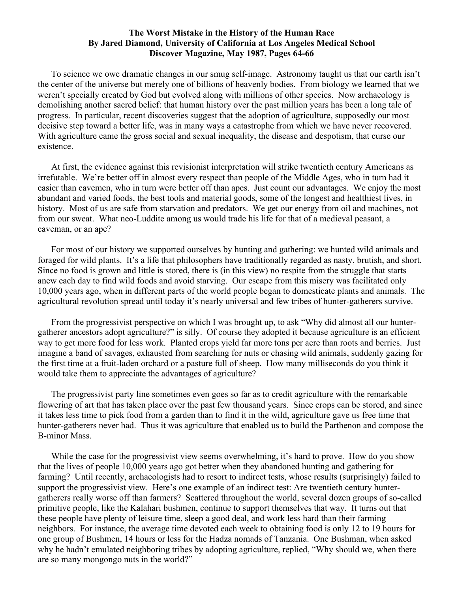## **The Worst Mistake in the History of the Human Race By Jared Diamond, University of California at Los Angeles Medical School Discover Magazine, May 1987, Pages 64-66**

To science we owe dramatic changes in our smug self-image. Astronomy taught us that our earth isn't the center of the universe but merely one of billions of heavenly bodies. From biology we learned that we weren't specially created by God but evolved along with millions of other species. Now archaeology is demolishing another sacred belief: that human history over the past million years has been a long tale of progress. In particular, recent discoveries suggest that the adoption of agriculture, supposedly our most decisive step toward a better life, was in many ways a catastrophe from which we have never recovered. With agriculture came the gross social and sexual inequality, the disease and despotism, that curse our existence.

At first, the evidence against this revisionist interpretation will strike twentieth century Americans as irrefutable. We're better off in almost every respect than people of the Middle Ages, who in turn had it easier than cavemen, who in turn were better off than apes. Just count our advantages. We enjoy the most abundant and varied foods, the best tools and material goods, some of the longest and healthiest lives, in history. Most of us are safe from starvation and predators. We get our energy from oil and machines, not from our sweat. What neo-Luddite among us would trade his life for that of a medieval peasant, a caveman, or an ape?

For most of our history we supported ourselves by hunting and gathering: we hunted wild animals and foraged for wild plants. It's a life that philosophers have traditionally regarded as nasty, brutish, and short. Since no food is grown and little is stored, there is (in this view) no respite from the struggle that starts anew each day to find wild foods and avoid starving. Our escape from this misery was facilitated only 10,000 years ago, when in different parts of the world people began to domesticate plants and animals. The agricultural revolution spread until today it's nearly universal and few tribes of hunter-gatherers survive.

From the progressivist perspective on which I was brought up, to ask "Why did almost all our huntergatherer ancestors adopt agriculture?" is silly. Of course they adopted it because agriculture is an efficient way to get more food for less work. Planted crops yield far more tons per acre than roots and berries. Just imagine a band of savages, exhausted from searching for nuts or chasing wild animals, suddenly gazing for the first time at a fruit-laden orchard or a pasture full of sheep. How many milliseconds do you think it would take them to appreciate the advantages of agriculture?

The progressivist party line sometimes even goes so far as to credit agriculture with the remarkable flowering of art that has taken place over the past few thousand years. Since crops can be stored, and since it takes less time to pick food from a garden than to find it in the wild, agriculture gave us free time that hunter-gatherers never had. Thus it was agriculture that enabled us to build the Parthenon and compose the B-minor Mass.

While the case for the progressivist view seems overwhelming, it's hard to prove. How do you show that the lives of people 10,000 years ago got better when they abandoned hunting and gathering for farming? Until recently, archaeologists had to resort to indirect tests, whose results (surprisingly) failed to support the progressivist view. Here's one example of an indirect test: Are twentieth century huntergatherers really worse off than farmers? Scattered throughout the world, several dozen groups of so-called primitive people, like the Kalahari bushmen, continue to support themselves that way. It turns out that these people have plenty of leisure time, sleep a good deal, and work less hard than their farming neighbors. For instance, the average time devoted each week to obtaining food is only 12 to 19 hours for one group of Bushmen, 14 hours or less for the Hadza nomads of Tanzania. One Bushman, when asked why he hadn't emulated neighboring tribes by adopting agriculture, replied, "Why should we, when there are so many mongongo nuts in the world?"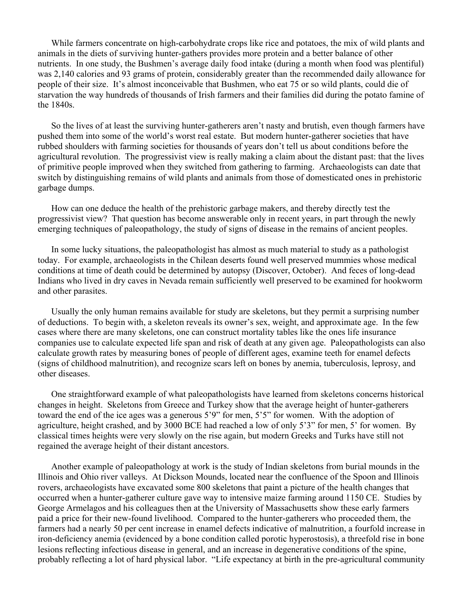While farmers concentrate on high-carbohydrate crops like rice and potatoes, the mix of wild plants and animals in the diets of surviving hunter-gathers provides more protein and a better balance of other nutrients. In one study, the Bushmen's average daily food intake (during a month when food was plentiful) was 2,140 calories and 93 grams of protein, considerably greater than the recommended daily allowance for people of their size. It's almost inconceivable that Bushmen, who eat 75 or so wild plants, could die of starvation the way hundreds of thousands of Irish farmers and their families did during the potato famine of the 1840s.

So the lives of at least the surviving hunter-gatherers aren't nasty and brutish, even though farmers have pushed them into some of the world's worst real estate. But modern hunter-gatherer societies that have rubbed shoulders with farming societies for thousands of years don't tell us about conditions before the agricultural revolution. The progressivist view is really making a claim about the distant past: that the lives of primitive people improved when they switched from gathering to farming. Archaeologists can date that switch by distinguishing remains of wild plants and animals from those of domesticated ones in prehistoric garbage dumps.

How can one deduce the health of the prehistoric garbage makers, and thereby directly test the progressivist view? That question has become answerable only in recent years, in part through the newly emerging techniques of paleopathology, the study of signs of disease in the remains of ancient peoples.

In some lucky situations, the paleopathologist has almost as much material to study as a pathologist today. For example, archaeologists in the Chilean deserts found well preserved mummies whose medical conditions at time of death could be determined by autopsy (Discover, October). And feces of long-dead Indians who lived in dry caves in Nevada remain sufficiently well preserved to be examined for hookworm and other parasites.

Usually the only human remains available for study are skeletons, but they permit a surprising number of deductions. To begin with, a skeleton reveals its owner's sex, weight, and approximate age. In the few cases where there are many skeletons, one can construct mortality tables like the ones life insurance companies use to calculate expected life span and risk of death at any given age. Paleopathologists can also calculate growth rates by measuring bones of people of different ages, examine teeth for enamel defects (signs of childhood malnutrition), and recognize scars left on bones by anemia, tuberculosis, leprosy, and other diseases.

One straightforward example of what paleopathologists have learned from skeletons concerns historical changes in height. Skeletons from Greece and Turkey show that the average height of hunter-gatherers toward the end of the ice ages was a generous 5'9" for men, 5'5" for women. With the adoption of agriculture, height crashed, and by 3000 BCE had reached a low of only 5'3" for men, 5' for women. By classical times heights were very slowly on the rise again, but modern Greeks and Turks have still not regained the average height of their distant ancestors.

Another example of paleopathology at work is the study of Indian skeletons from burial mounds in the Illinois and Ohio river valleys. At Dickson Mounds, located near the confluence of the Spoon and Illinois rovers, archaeologists have excavated some 800 skeletons that paint a picture of the health changes that occurred when a hunter-gatherer culture gave way to intensive maize farming around 1150 CE. Studies by George Armelagos and his colleagues then at the University of Massachusetts show these early farmers paid a price for their new-found livelihood. Compared to the hunter-gatherers who proceeded them, the farmers had a nearly 50 per cent increase in enamel defects indicative of malnutrition, a fourfold increase in iron-deficiency anemia (evidenced by a bone condition called porotic hyperostosis), a threefold rise in bone lesions reflecting infectious disease in general, and an increase in degenerative conditions of the spine, probably reflecting a lot of hard physical labor. "Life expectancy at birth in the pre-agricultural community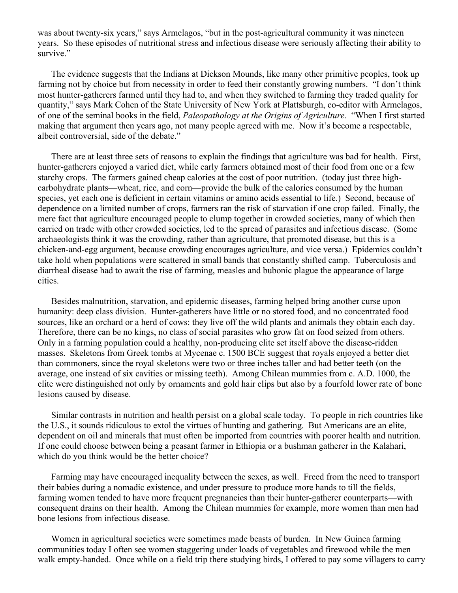was about twenty-six years," says Armelagos, "but in the post-agricultural community it was nineteen years. So these episodes of nutritional stress and infectious disease were seriously affecting their ability to survive."

The evidence suggests that the Indians at Dickson Mounds, like many other primitive peoples, took up farming not by choice but from necessity in order to feed their constantly growing numbers. "I don't think most hunter-gatherers farmed until they had to, and when they switched to farming they traded quality for quantity," says Mark Cohen of the State University of New York at Plattsburgh, co-editor with Armelagos, of one of the seminal books in the field, *Paleopathology at the Origins of Agriculture.* "When I first started making that argument then years ago, not many people agreed with me. Now it's become a respectable, albeit controversial, side of the debate."

There are at least three sets of reasons to explain the findings that agriculture was bad for health. First, hunter-gatherers enjoyed a varied diet, while early farmers obtained most of their food from one or a few starchy crops. The farmers gained cheap calories at the cost of poor nutrition. (today just three highcarbohydrate plants—wheat, rice, and corn—provide the bulk of the calories consumed by the human species, yet each one is deficient in certain vitamins or amino acids essential to life.) Second, because of dependence on a limited number of crops, farmers ran the risk of starvation if one crop failed. Finally, the mere fact that agriculture encouraged people to clump together in crowded societies, many of which then carried on trade with other crowded societies, led to the spread of parasites and infectious disease. (Some archaeologists think it was the crowding, rather than agriculture, that promoted disease, but this is a chicken-and-egg argument, because crowding encourages agriculture, and vice versa.) Epidemics couldn't take hold when populations were scattered in small bands that constantly shifted camp. Tuberculosis and diarrheal disease had to await the rise of farming, measles and bubonic plague the appearance of large cities.

Besides malnutrition, starvation, and epidemic diseases, farming helped bring another curse upon humanity: deep class division. Hunter-gatherers have little or no stored food, and no concentrated food sources, like an orchard or a herd of cows: they live off the wild plants and animals they obtain each day. Therefore, there can be no kings, no class of social parasites who grow fat on food seized from others. Only in a farming population could a healthy, non-producing elite set itself above the disease-ridden masses. Skeletons from Greek tombs at Mycenae c. 1500 BCE suggest that royals enjoyed a better diet than commoners, since the royal skeletons were two or three inches taller and had better teeth (on the average, one instead of six cavities or missing teeth). Among Chilean mummies from c. A.D. 1000, the elite were distinguished not only by ornaments and gold hair clips but also by a fourfold lower rate of bone lesions caused by disease.

Similar contrasts in nutrition and health persist on a global scale today. To people in rich countries like the U.S., it sounds ridiculous to extol the virtues of hunting and gathering. But Americans are an elite, dependent on oil and minerals that must often be imported from countries with poorer health and nutrition. If one could choose between being a peasant farmer in Ethiopia or a bushman gatherer in the Kalahari, which do you think would be the better choice?

Farming may have encouraged inequality between the sexes, as well. Freed from the need to transport their babies during a nomadic existence, and under pressure to produce more hands to till the fields, farming women tended to have more frequent pregnancies than their hunter-gatherer counterparts—with consequent drains on their health. Among the Chilean mummies for example, more women than men had bone lesions from infectious disease.

Women in agricultural societies were sometimes made beasts of burden. In New Guinea farming communities today I often see women staggering under loads of vegetables and firewood while the men walk empty-handed. Once while on a field trip there studying birds, I offered to pay some villagers to carry